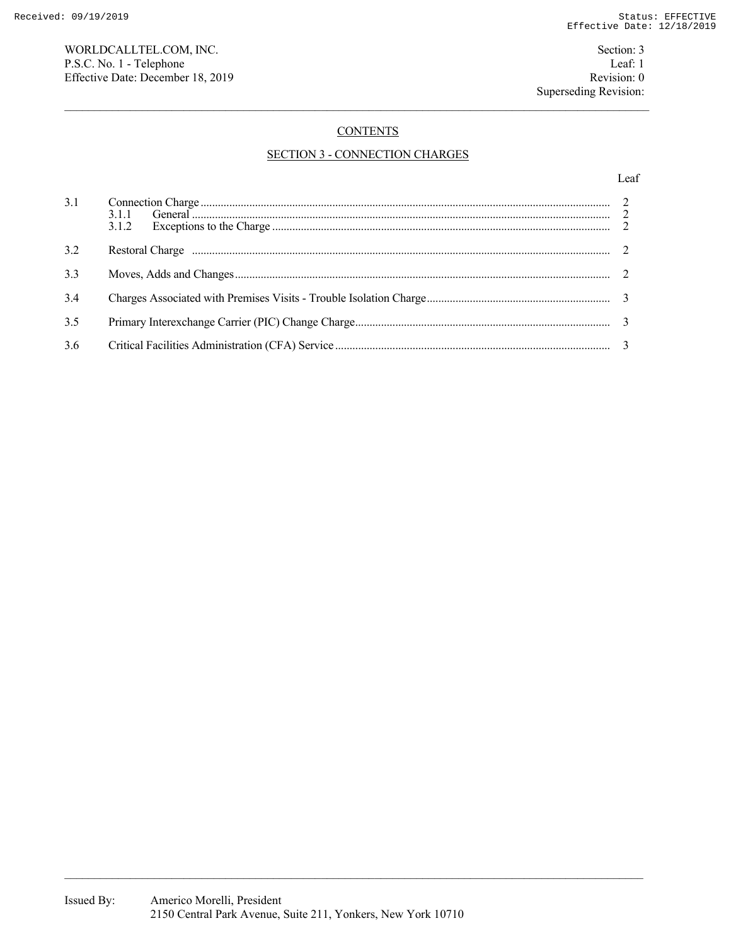WORLDCALLTEL.COM, INC. Section: 3 P.S.C. No. 1 - Telephone Leaf: 1 Effective Date: December 18, 2019 Revision: 0

# **CONTENTS**

# SECTION 3 - CONNECTION CHARGES

## Leaf

| 3.1 | 3.1.2 |  |
|-----|-------|--|
| 3.2 |       |  |
| 3.3 |       |  |
| 3.4 |       |  |
| 3.5 |       |  |
| 3.6 |       |  |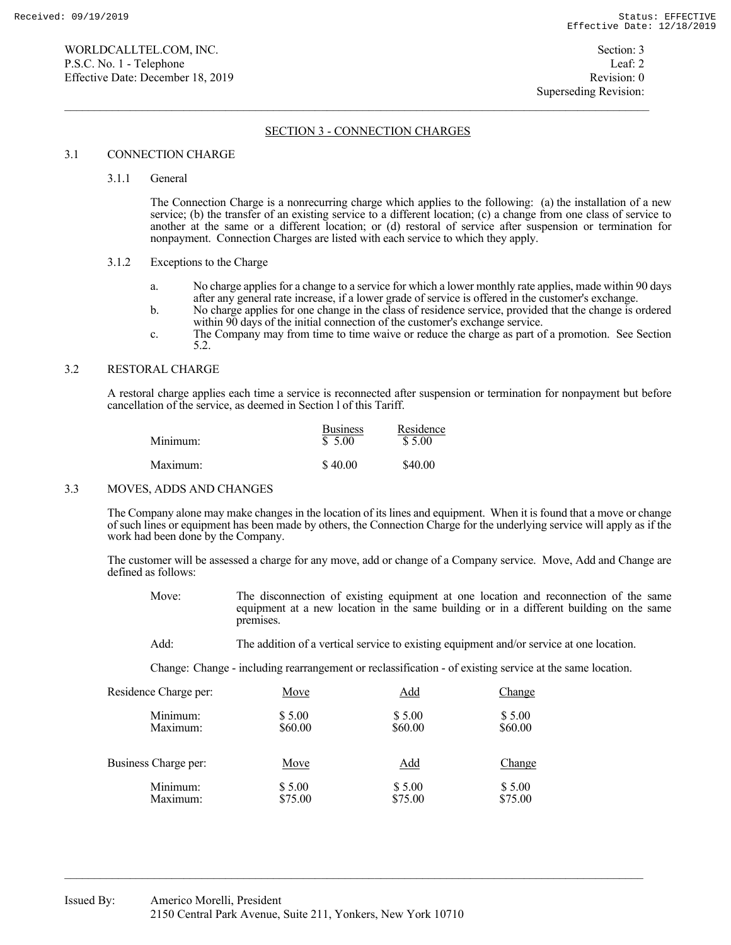# SECTION 3 - CONNECTION CHARGES

## 3.1 CONNECTION CHARGE

#### 3.1.1 General

 The Connection Charge is a nonrecurring charge which applies to the following: (a) the installation of a new service; (b) the transfer of an existing service to a different location; (c) a change from one class of service to another at the same or a different location; or (d) restoral of service after suspension or termination for nonpayment. Connection Charges are listed with each service to which they apply.

#### 3.1.2 Exceptions to the Charge

- a. No charge applies for a change to a service for which a lower monthly rate applies, made within 90 days after any general rate increase, if a lower grade of service is offered in the customer's exchange.
- b. No charge applies for one change in the class of residence service, provided that the change is ordered within 90 days of the initial connection of the customer's exchange service.
- c. The Company may from time to time waive or reduce the charge as part of a promotion. See Section 5.2.

#### 3.2 RESTORAL CHARGE

 A restoral charge applies each time a service is reconnected after suspension or termination for nonpayment but before cancellation of the service, as deemed in Section l of this Tariff.

| Minimum: | <b>Business</b><br>\$5.00 | Residence<br>\$5.00 |
|----------|---------------------------|---------------------|
| Maximum: | \$40.00                   | \$40.00             |

#### 3.3 MOVES, ADDS AND CHANGES

 The Company alone may make changes in the location of its lines and equipment. When it is found that a move or change of such lines or equipment has been made by others, the Connection Charge for the underlying service will apply as if the work had been done by the Company.

 The customer will be assessed a charge for any move, add or change of a Company service. Move, Add and Change are defined as follows:

- Move: The disconnection of existing equipment at one location and reconnection of the same equipment at a new location in the same building or in a different building on the same premises.
- Add: The addition of a vertical service to existing equipment and/or service at one location.

Change: Change - including rearrangement or reclassification - of existing service at the same location.

| Residence Charge per: | Move    | <u>Add</u> | <u>Change</u> |
|-----------------------|---------|------------|---------------|
| Minimum:              | \$5.00  | \$5.00     | \$5.00        |
| Maximum:              | \$60.00 | \$60.00    | \$60.00       |
| Business Charge per:  | Move    | <u>Add</u> | Change        |
| Minimum:              | \$5.00  | \$5.00     | \$5.00        |
| Maximum:              | \$75.00 | \$75.00    | \$75.00       |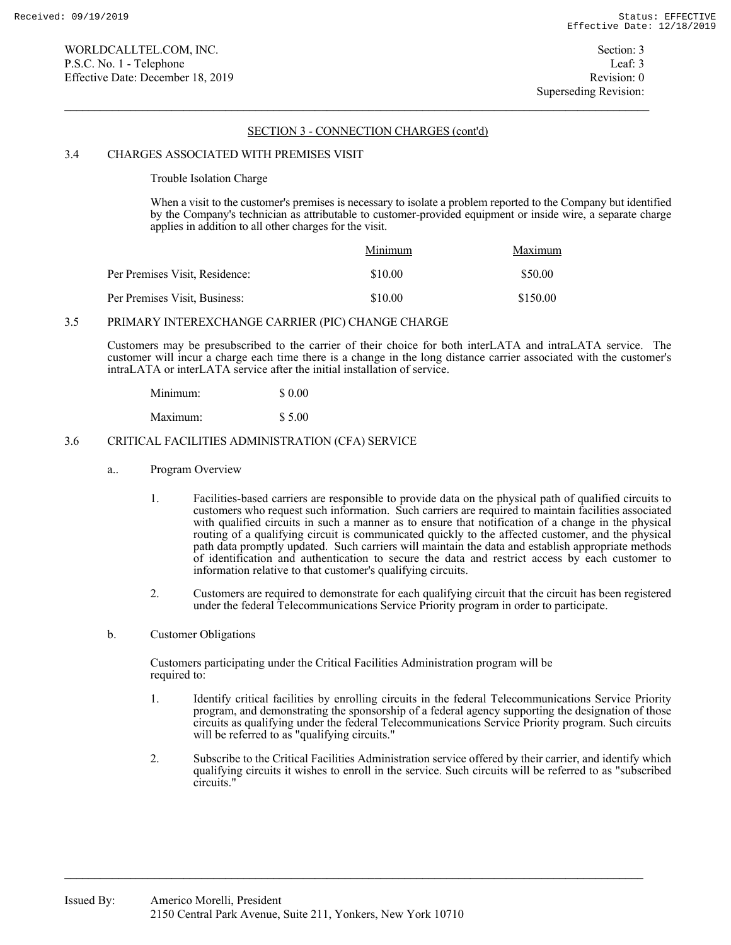## SECTION 3 - CONNECTION CHARGES (cont'd)

## 3.4 CHARGES ASSOCIATED WITH PREMISES VISIT

Trouble Isolation Charge

 When a visit to the customer's premises is necessary to isolate a problem reported to the Company but identified by the Company's technician as attributable to customer-provided equipment or inside wire, a separate charge applies in addition to all other charges for the visit.

|                                | Minimum | Maximum  |
|--------------------------------|---------|----------|
| Per Premises Visit, Residence: | \$10.00 | \$50.00  |
| Per Premises Visit, Business:  | \$10.00 | \$150.00 |

## 3.5 PRIMARY INTEREXCHANGE CARRIER (PIC) CHANGE CHARGE

 Customers may be presubscribed to the carrier of their choice for both interLATA and intraLATA service. The customer will incur a charge each time there is a change in the long distance carrier associated with the customer's intraLATA or interLATA service after the initial installation of service.

| Minimum: | \$ 0.00 |
|----------|---------|
| Maximum: | \$5.00  |

## 3.6 CRITICAL FACILITIES ADMINISTRATION (CFA) SERVICE

- a.. Program Overview
	- 1. Facilities-based carriers are responsible to provide data on the physical path of qualified circuits to customers who request such information. Such carriers are required to maintain facilities associated with qualified circuits in such a manner as to ensure that notification of a change in the physical routing of a qualifying circuit is communicated quickly to the affected customer, and the physical path data promptly updated. Such carriers will maintain the data and establish appropriate methods of identification and authentication to secure the data and restrict access by each customer to information relative to that customer's qualifying circuits.
	- 2. Customers are required to demonstrate for each qualifying circuit that the circuit has been registered under the federal Telecommunications Service Priority program in order to participate.
- b. Customer Obligations

Customers participating under the Critical Facilities Administration program will be required to:

- 1. Identify critical facilities by enrolling circuits in the federal Telecommunications Service Priority program, and demonstrating the sponsorship of a federal agency supporting the designation of those circuits as qualifying under the federal Telecommunications Service Priority program. Such circuits will be referred to as "qualifying circuits."
- 2. Subscribe to the Critical Facilities Administration service offered by their carrier, and identify which qualifying circuits it wishes to enroll in the service. Such circuits will be referred to as "subscribed circuits."